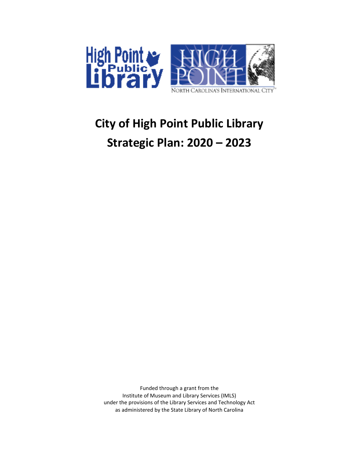

# **City of High Point Public Library Strategic Plan: 2020 – 2023**

Funded through a grant from the Institute of Museum and Library Services (IMLS) under the provisions of the Library Services and Technology Act as administered by the State Library of North Carolina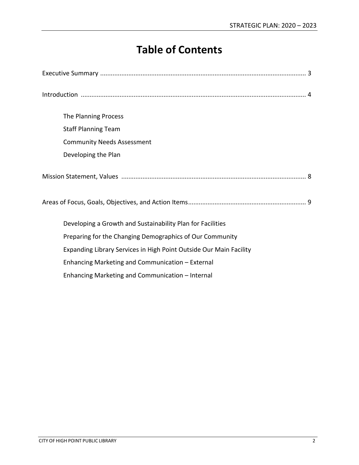## **Table of Contents**

| The Planning Process                                               |
|--------------------------------------------------------------------|
| <b>Staff Planning Team</b>                                         |
| <b>Community Needs Assessment</b>                                  |
| Developing the Plan                                                |
|                                                                    |
|                                                                    |
| Developing a Growth and Sustainability Plan for Facilities         |
| Preparing for the Changing Demographics of Our Community           |
| Expanding Library Services in High Point Outside Our Main Facility |
| Enhancing Marketing and Communication - External                   |
| Enhancing Marketing and Communication - Internal                   |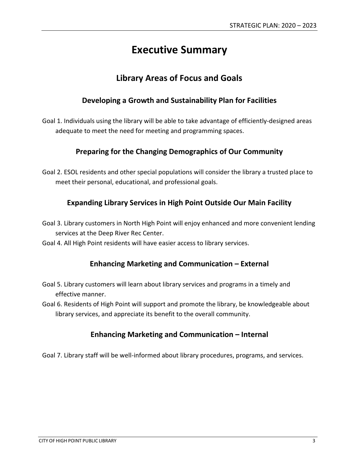## **Executive Summary**

## **Library Areas of Focus and Goals**

### **Developing a Growth and Sustainability Plan for Facilities**

Goal 1. Individuals using the library will be able to take advantage of efficiently-designed areas adequate to meet the need for meeting and programming spaces.

## **Preparing for the Changing Demographics of Our Community**

Goal 2. ESOL residents and other special populations will consider the library a trusted place to meet their personal, educational, and professional goals.

## **Expanding Library Services in High Point Outside Our Main Facility**

- Goal 3. Library customers in North High Point will enjoy enhanced and more convenient lending services at the Deep River Rec Center.
- Goal 4. All High Point residents will have easier access to library services.

## **Enhancing Marketing and Communication – External**

- Goal 5. Library customers will learn about library services and programs in a timely and effective manner.
- Goal 6. Residents of High Point will support and promote the library, be knowledgeable about library services, and appreciate its benefit to the overall community.

### **Enhancing Marketing and Communication – Internal**

Goal 7. Library staff will be well-informed about library procedures, programs, and services.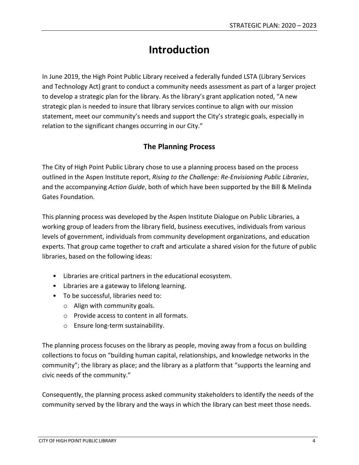## **Introduction**

In June 2019, the High Point Public Library received a federally funded LSTA (Library Services and Technology Act) grant to conduct a community needs assessment as part of a larger project to develop a strategic plan for the library. As the library's grant application noted, "A new strategic plan is needed to insure that library services continue to align with our mission statement, meet our community's needs and support the City's strategic goals, especially in relation to the significant changes occurring in our City."

## **The Planning Process**

The City of High Point Public Library chose to use a planning process based on the process outlined in the Aspen Institute report, *Rising to the Challenge: Re-Envisioning Public Libraries*, and the accompanying *Action Guide*, both of which have been supported by the Bill & Melinda Gates Foundation.

This planning process was developed by the Aspen Institute Dialogue on Public Libraries, a working group of leaders from the library field, business executives, individuals from various levels of government, individuals from community development organizations, and education experts. That group came together to craft and articulate a shared vision for the future of public libraries, based on the following ideas:

- Libraries are critical partners in the educational ecosystem.
- Libraries are a gateway to lifelong learning.
- To be successful, libraries need to:
	- o Align with community goals.
	- o Provide access to content in all formats.
	- o Ensure long-term sustainability.

The planning process focuses on the library as people, moving away from a focus on building collections to focus on "building human capital, relationships, and knowledge networks in the community"; the library as place; and the library as a platform that "supports the learning and civic needs of the community."

Consequently, the planning process asked community stakeholders to identify the needs of the community served by the library and the ways in which the library can best meet those needs.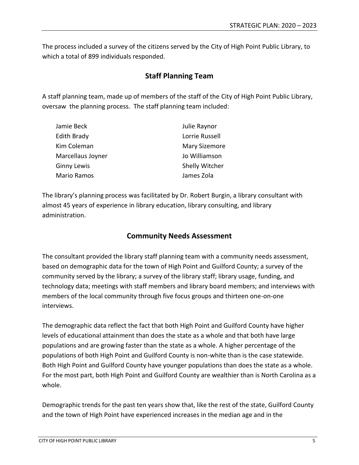The process included a survey of the citizens served by the City of High Point Public Library, to which a total of 899 individuals responded.

### **Staff Planning Team**

A staff planning team, made up of members of the staff of the City of High Point Public Library, oversaw the planning process. The staff planning team included:

| Jamie Beck         | Julie Raynor         |
|--------------------|----------------------|
| Edith Brady        | Lorrie Russell       |
| Kim Coleman        | <b>Mary Sizemore</b> |
| Marcellaus Joyner  | Jo Williamson        |
| <b>Ginny Lewis</b> | Shelly Witcher       |
| Mario Ramos        | James Zola           |

The library's planning process was facilitated by Dr. Robert Burgin, a library consultant with almost 45 years of experience in library education, library consulting, and library administration.

### **Community Needs Assessment**

The consultant provided the library staff planning team with a community needs assessment, based on demographic data for the town of High Point and Guilford County; a survey of the community served by the library; a survey of the library staff; library usage, funding, and technology data; meetings with staff members and library board members; and interviews with members of the local community through five focus groups and thirteen one-on-one interviews.

The demographic data reflect the fact that both High Point and Guilford County have higher levels of educational attainment than does the state as a whole and that both have large populations and are growing faster than the state as a whole. A higher percentage of the populations of both High Point and Guilford County is non-white than is the case statewide. Both High Point and Guilford County have younger populations than does the state as a whole. For the most part, both High Point and Guilford County are wealthier than is North Carolina as a whole.

Demographic trends for the past ten years show that, like the rest of the state, Guilford County and the town of High Point have experienced increases in the median age and in the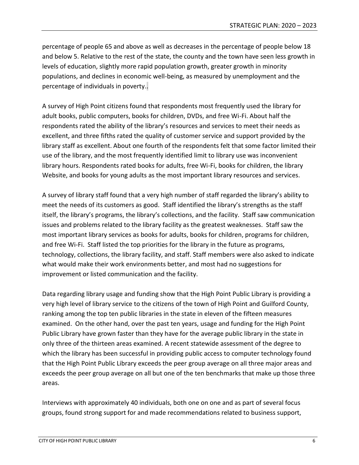percentage of people 65 and above as well as decreases in the percentage of people below 18 and below 5. Relative to the rest of the state, the county and the town have seen less growth in levels of education, slightly more rapid population growth, greater growth in minority populations, and declines in economic well-being, as measured by unemployment and the percentage of individuals in poverty..

A survey of High Point citizens found that respondents most frequently used the library for adult books, public computers, books for children, DVDs, and free Wi-Fi. About half the respondents rated the ability of the library's resources and services to meet their needs as excellent, and three fifths rated the quality of customer service and support provided by the library staff as excellent. About one fourth of the respondents felt that some factor limited their use of the library, and the most frequently identified limit to library use was inconvenient library hours. Respondents rated books for adults, free Wi-Fi, books for children, the library Website, and books for young adults as the most important library resources and services.

A survey of library staff found that a very high number of staff regarded the library's ability to meet the needs of its customers as good. Staff identified the library's strengths as the staff itself, the library's programs, the library's collections, and the facility. Staff saw communication issues and problems related to the library facility as the greatest weaknesses. Staff saw the most important library services as books for adults, books for children, programs for children, and free Wi-Fi. Staff listed the top priorities for the library in the future as programs, technology, collections, the library facility, and staff. Staff members were also asked to indicate what would make their work environments better, and most had no suggestions for improvement or listed communication and the facility.

Data regarding library usage and funding show that the High Point Public Library is providing a very high level of library service to the citizens of the town of High Point and Guilford County, ranking among the top ten public libraries in the state in eleven of the fifteen measures examined. On the other hand, over the past ten years, usage and funding for the High Point Public Library have grown faster than they have for the average public library in the state in only three of the thirteen areas examined. A recent statewide assessment of the degree to which the library has been successful in providing public access to computer technology found that the High Point Public Library exceeds the peer group average on all three major areas and exceeds the peer group average on all but one of the ten benchmarks that make up those three areas.

Interviews with approximately 40 individuals, both one on one and as part of several focus groups, found strong support for and made recommendations related to business support,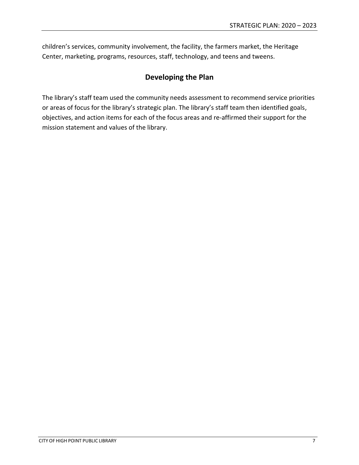children's services, community involvement, the facility, the farmers market, the Heritage Center, marketing, programs, resources, staff, technology, and teens and tweens.

## **Developing the Plan**

The library's staff team used the community needs assessment to recommend service priorities or areas of focus for the library's strategic plan. The library's staff team then identified goals, objectives, and action items for each of the focus areas and re-affirmed their support for the mission statement and values of the library.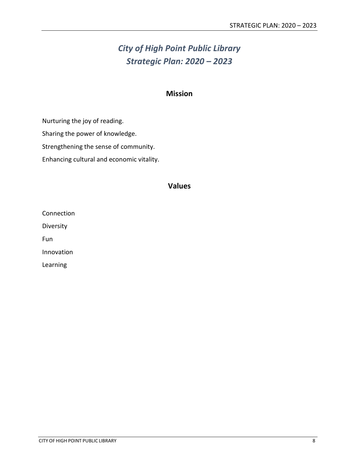## *City of High Point Public Library Strategic Plan: 2020 – 2023*

#### **Mission**

Nurturing the joy of reading.

Sharing the power of knowledge.

Strengthening the sense of community.

Enhancing cultural and economic vitality.

#### **Values**

Connection

Diversity

Fun

Innovation

Learning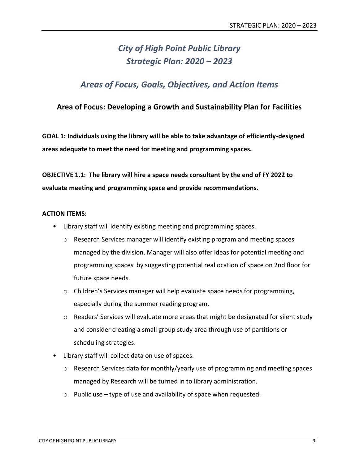## *City of High Point Public Library Strategic Plan: 2020 – 2023*

## *Areas of Focus, Goals, Objectives, and Action Items*

### **Area of Focus: Developing a Growth and Sustainability Plan for Facilities**

**GOAL 1: Individuals using the library will be able to take advantage of efficiently-designed areas adequate to meet the need for meeting and programming spaces.**

**OBJECTIVE 1.1: The library will hire a space needs consultant by the end of FY 2022 to evaluate meeting and programming space and provide recommendations.**

- Library staff will identify existing meeting and programming spaces.
	- $\circ$  Research Services manager will identify existing program and meeting spaces managed by the division. Manager will also offer ideas for potential meeting and programming spaces by suggesting potential reallocation of space on 2nd floor for future space needs.
	- $\circ$  Children's Services manager will help evaluate space needs for programming, especially during the summer reading program.
	- $\circ$  Readers' Services will evaluate more areas that might be designated for silent study and consider creating a small group study area through use of partitions or scheduling strategies.
- Library staff will collect data on use of spaces.
	- $\circ$  Research Services data for monthly/yearly use of programming and meeting spaces managed by Research will be turned in to library administration.
	- $\circ$  Public use type of use and availability of space when requested.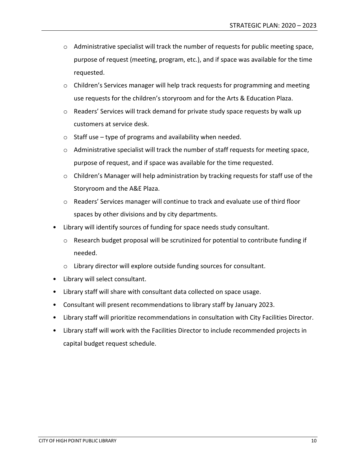- o Administrative specialist will track the number of requests for public meeting space, purpose of request (meeting, program, etc.), and if space was available for the time requested.
- $\circ$  Children's Services manager will help track requests for programming and meeting use requests for the children's storyroom and for the Arts & Education Plaza.
- $\circ$  Readers' Services will track demand for private study space requests by walk up customers at service desk.
- $\circ$  Staff use type of programs and availability when needed.
- $\circ$  Administrative specialist will track the number of staff requests for meeting space, purpose of request, and if space was available for the time requested.
- o Children's Manager will help administration by tracking requests for staff use of the Storyroom and the A&E Plaza.
- o Readers' Services manager will continue to track and evaluate use of third floor spaces by other divisions and by city departments.
- Library will identify sources of funding for space needs study consultant.
	- $\circ$  Research budget proposal will be scrutinized for potential to contribute funding if needed.
	- o Library director will explore outside funding sources for consultant.
- Library will select consultant.
- Library staff will share with consultant data collected on space usage.
- Consultant will present recommendations to library staff by January 2023.
- Library staff will prioritize recommendations in consultation with City Facilities Director.
- Library staff will work with the Facilities Director to include recommended projects in capital budget request schedule.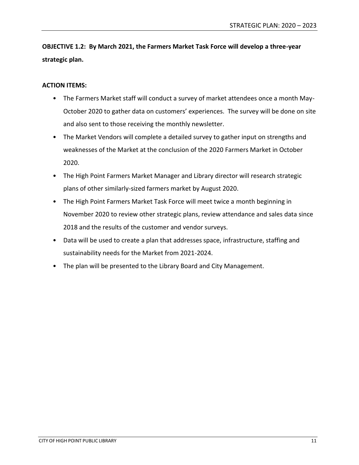**OBJECTIVE 1.2: By March 2021, the Farmers Market Task Force will develop a three-year strategic plan.**

- The Farmers Market staff will conduct a survey of market attendees once a month May-October 2020 to gather data on customers' experiences. The survey will be done on site and also sent to those receiving the monthly newsletter.
- The Market Vendors will complete a detailed survey to gather input on strengths and weaknesses of the Market at the conclusion of the 2020 Farmers Market in October 2020.
- The High Point Farmers Market Manager and Library director will research strategic plans of other similarly-sized farmers market by August 2020.
- The High Point Farmers Market Task Force will meet twice a month beginning in November 2020 to review other strategic plans, review attendance and sales data since 2018 and the results of the customer and vendor surveys.
- Data will be used to create a plan that addresses space, infrastructure, staffing and sustainability needs for the Market from 2021-2024.
- The plan will be presented to the Library Board and City Management.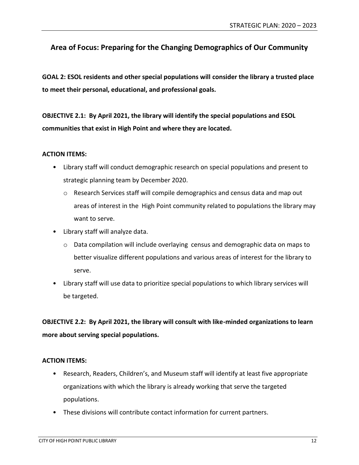## **Area of Focus: Preparing for the Changing Demographics of Our Community**

**GOAL 2: ESOL residents and other special populations will consider the library a trusted place to meet their personal, educational, and professional goals.**

**OBJECTIVE 2.1: By April 2021, the library will identify the special populations and ESOL communities that exist in High Point and where they are located.**

#### **ACTION ITEMS:**

- Library staff will conduct demographic research on special populations and present to strategic planning team by December 2020.
	- $\circ$  Research Services staff will compile demographics and census data and map out areas of interest in the High Point community related to populations the library may want to serve.
- Library staff will analyze data.
	- o Data compilation will include overlaying census and demographic data on maps to better visualize different populations and various areas of interest for the library to serve.
- Library staff will use data to prioritize special populations to which library services will be targeted.

**OBJECTIVE 2.2: By April 2021, the library will consult with like-minded organizations to learn more about serving special populations.**

- Research, Readers, Children's, and Museum staff will identify at least five appropriate organizations with which the library is already working that serve the targeted populations.
- These divisions will contribute contact information for current partners.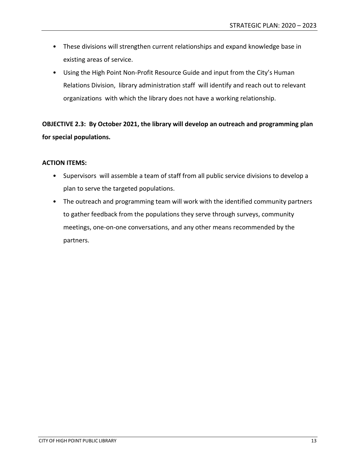- These divisions will strengthen current relationships and expand knowledge base in existing areas of service.
- Using the High Point Non-Profit Resource Guide and input from the City's Human Relations Division, library administration staff will identify and reach out to relevant organizations with which the library does not have a working relationship.

**OBJECTIVE 2.3: By October 2021, the library will develop an outreach and programming plan for special populations.**

- Supervisors will assemble a team of staff from all public service divisions to develop a plan to serve the targeted populations.
- The outreach and programming team will work with the identified community partners to gather feedback from the populations they serve through surveys, community meetings, one-on-one conversations, and any other means recommended by the partners.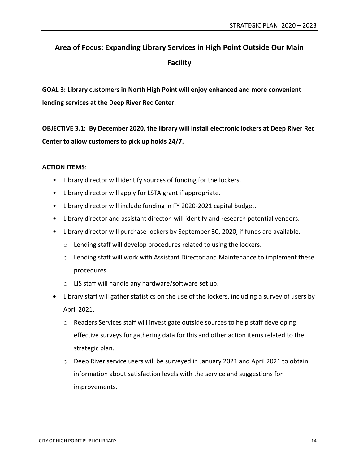## **Area of Focus: Expanding Library Services in High Point Outside Our Main Facility**

**GOAL 3: Library customers in North High Point will enjoy enhanced and more convenient lending services at the Deep River Rec Center.**

**OBJECTIVE 3.1: By December 2020, the library will install electronic lockers at Deep River Rec Center to allow customers to pick up holds 24/7.**

- Library director will identify sources of funding for the lockers.
- Library director will apply for LSTA grant if appropriate.
- Library director will include funding in FY 2020-2021 capital budget.
- Library director and assistant director will identify and research potential vendors.
- Library director will purchase lockers by September 30, 2020, if funds are available.
	- o Lending staff will develop procedures related to using the lockers.
	- o Lending staff will work with Assistant Director and Maintenance to implement these procedures.
	- o LIS staff will handle any hardware/software set up.
- Library staff will gather statistics on the use of the lockers, including a survey of users by April 2021.
	- $\circ$  Readers Services staff will investigate outside sources to help staff developing effective surveys for gathering data for this and other action items related to the strategic plan.
	- $\circ$  Deep River service users will be surveyed in January 2021 and April 2021 to obtain information about satisfaction levels with the service and suggestions for improvements.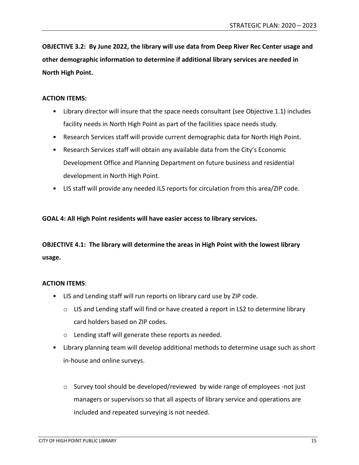**OBJECTIVE 3.2: By June 2022, the library will use data from Deep River Rec Center usage and other demographic information to determine if additional library services are needed in North High Point.**

#### **ACTION ITEMS:**

- Library director will insure that the space needs consultant (see Objective 1.1) includes facility needs in North High Point as part of the facilities space needs study.
- Research Services staff will provide current demographic data for North High Point.
- Research Services staff will obtain any available data from the City's Economic Development Office and Planning Department on future business and residential development in North High Point.
- LIS staff will provide any needed ILS reports for circulation from this area/ZIP code.

#### **GOAL 4: All High Point residents will have easier access to library services.**

## **OBJECTIVE 4.1: The library will determine the areas in High Point with the lowest library usage.**

- LIS and Lending staff will run reports on library card use by ZIP code.
	- $\circ$  LIS and Lending staff will find or have created a report in LS2 to determine library card holders based on ZIP codes.
	- o Lending staff will generate these reports as needed.
- Library planning team will develop additional methods to determine usage such as short in-house and online surveys.
	- $\circ$  Survey tool should be developed/reviewed by wide range of employees -not just managers or supervisors so that all aspects of library service and operations are included and repeated surveying is not needed.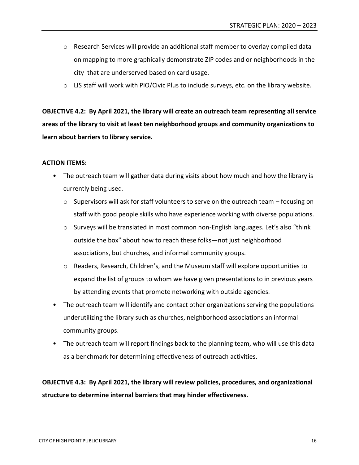- $\circ$  Research Services will provide an additional staff member to overlay compiled data on mapping to more graphically demonstrate ZIP codes and or neighborhoods in the city that are underserved based on card usage.
- $\circ$  LIS staff will work with PIO/Civic Plus to include surveys, etc. on the library website.

**OBJECTIVE 4.2: By April 2021, the library will create an outreach team representing all service areas of the library to visit at least ten neighborhood groups and community organizations to learn about barriers to library service.**

#### **ACTION ITEMS:**

- The outreach team will gather data during visits about how much and how the library is currently being used.
	- $\circ$  Supervisors will ask for staff volunteers to serve on the outreach team focusing on staff with good people skills who have experience working with diverse populations.
	- $\circ$  Surveys will be translated in most common non-English languages. Let's also "think outside the box" about how to reach these folks—not just neighborhood associations, but churches, and informal community groups.
	- $\circ$  Readers, Research, Children's, and the Museum staff will explore opportunities to expand the list of groups to whom we have given presentations to in previous years by attending events that promote networking with outside agencies.
- The outreach team will identify and contact other organizations serving the populations underutilizing the library such as churches, neighborhood associations an informal community groups.
- The outreach team will report findings back to the planning team, who will use this data as a benchmark for determining effectiveness of outreach activities.

**OBJECTIVE 4.3: By April 2021, the library will review policies, procedures, and organizational structure to determine internal barriers that may hinder effectiveness.**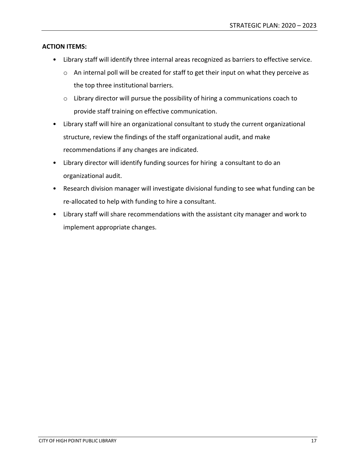- Library staff will identify three internal areas recognized as barriers to effective service.
	- o An internal poll will be created for staff to get their input on what they perceive as the top three institutional barriers.
	- o Library director will pursue the possibility of hiring a communications coach to provide staff training on effective communication.
- Library staff will hire an organizational consultant to study the current organizational structure, review the findings of the staff organizational audit, and make recommendations if any changes are indicated.
- Library director will identify funding sources for hiring a consultant to do an organizational audit.
- Research division manager will investigate divisional funding to see what funding can be re-allocated to help with funding to hire a consultant.
- Library staff will share recommendations with the assistant city manager and work to implement appropriate changes.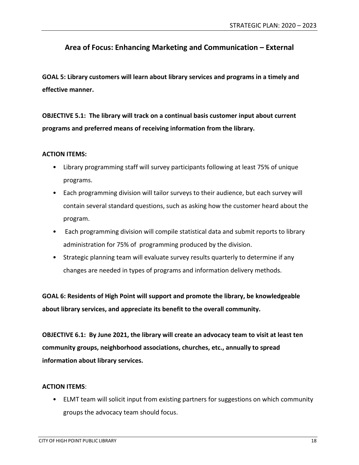## **Area of Focus: Enhancing Marketing and Communication – External**

**GOAL 5: Library customers will learn about library services and programs in a timely and effective manner.**

**OBJECTIVE 5.1: The library will track on a continual basis customer input about current programs and preferred means of receiving information from the library.**

#### **ACTION ITEMS:**

- Library programming staff will survey participants following at least 75% of unique programs.
- Each programming division will tailor surveys to their audience, but each survey will contain several standard questions, such as asking how the customer heard about the program.
- Each programming division will compile statistical data and submit reports to library administration for 75% of programming produced by the division.
- Strategic planning team will evaluate survey results quarterly to determine if any changes are needed in types of programs and information delivery methods.

**GOAL 6: Residents of High Point will support and promote the library, be knowledgeable about library services, and appreciate its benefit to the overall community.**

**OBJECTIVE 6.1: By June 2021, the library will create an advocacy team to visit at least ten community groups, neighborhood associations, churches, etc., annually to spread information about library services.**

#### **ACTION ITEMS**:

• ELMT team will solicit input from existing partners for suggestions on which community groups the advocacy team should focus.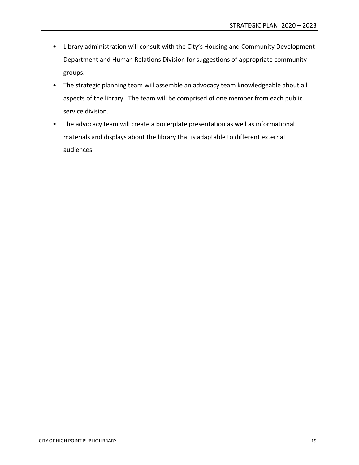- Library administration will consult with the City's Housing and Community Development Department and Human Relations Division for suggestions of appropriate community groups.
- The strategic planning team will assemble an advocacy team knowledgeable about all aspects of the library. The team will be comprised of one member from each public service division.
- The advocacy team will create a boilerplate presentation as well as informational materials and displays about the library that is adaptable to different external audiences.